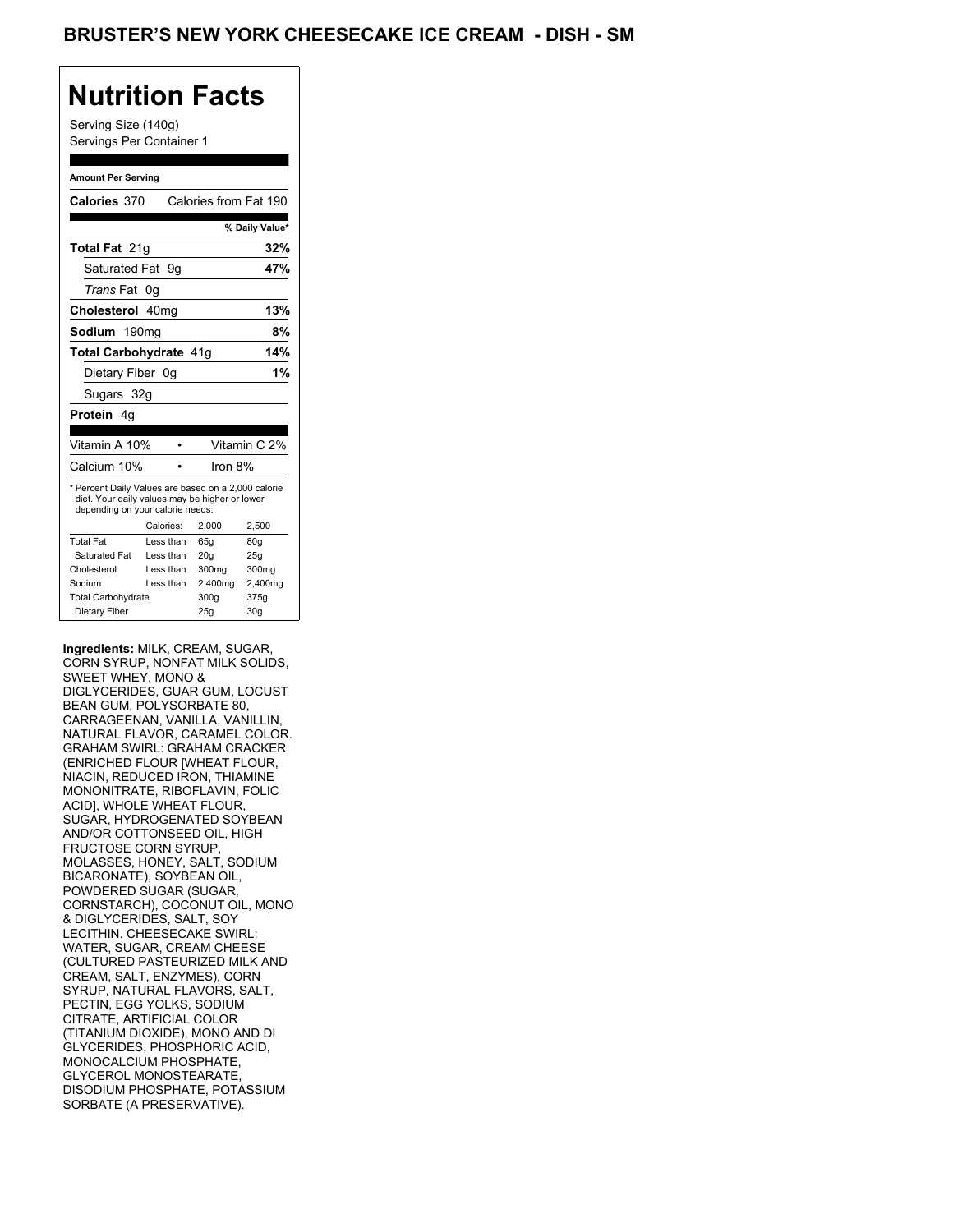Serving Size (140g) Servings Per Container 1

#### **Amount Per Serving**

| Calories 370                                                                                                                              |                   |           | Calories from Fat 190 |                 |
|-------------------------------------------------------------------------------------------------------------------------------------------|-------------------|-----------|-----------------------|-----------------|
|                                                                                                                                           |                   |           |                       |                 |
|                                                                                                                                           |                   |           |                       | % Daily Value*  |
| <b>Total Fat 21g</b>                                                                                                                      |                   |           |                       | 32%             |
| Saturated Fat                                                                                                                             |                   | 9g        |                       | 47%             |
| <i>Trans</i> Fat                                                                                                                          | 0g                |           |                       |                 |
| Cholesterol 40mg                                                                                                                          |                   |           |                       | 13%             |
| Sodium                                                                                                                                    | 190 <sub>mq</sub> |           |                       | 8%              |
| Total Carbohydrate 41g                                                                                                                    |                   |           |                       | 14%             |
| Dietary Fiber 0g                                                                                                                          |                   |           |                       | 1%              |
| Sugars 32g                                                                                                                                |                   |           |                       |                 |
| Protein 4g                                                                                                                                |                   |           |                       |                 |
|                                                                                                                                           |                   |           |                       |                 |
| Vitamin A 10%                                                                                                                             |                   | $\bullet$ |                       | Vitamin C 2%    |
| Calcium 10%                                                                                                                               |                   |           | Iron 8%               |                 |
| * Percent Daily Values are based on a 2,000 calorie<br>diet. Your daily values may be higher or lower<br>depending on your calorie needs: |                   |           |                       |                 |
|                                                                                                                                           |                   | Calories: | 2.000                 | 2,500           |
| <b>Total Fat</b>                                                                                                                          |                   | Less than | 65q                   | 80g             |
| Saturated Fat                                                                                                                             |                   | Less than | 20q                   | 25q             |
| Cholesterol                                                                                                                               |                   | Less than | 300mg                 | 300mg           |
| Sodium                                                                                                                                    |                   | Less than | 2,400mg               | 2,400mg         |
| <b>Total Carbohydrate</b>                                                                                                                 |                   |           | 300g                  | 375g            |
| Dietary Fiber                                                                                                                             |                   |           | 25g                   | 30 <sub>q</sub> |

**Ingredients:** MILK, CREAM, SUGAR, CORN SYRUP, NONFAT MILK SOLIDS, SWEET WHEY, MONO & DIGLYCERIDES, GUAR GUM, LOCUST BEAN GUM, POLYSORBATE 80, CARRAGEENAN, VANILLA, VANILLIN, NATURAL FLAVOR, CARAMEL COLOR. GRAHAM SWIRL: GRAHAM CRACKER (ENRICHED FLOUR [WHEAT FLOUR, NIACIN, REDUCED IRON, THIAMINE MONONITRATE, RIBOFLAVIN, FOLIC ACID], WHOLE WHEAT FLOUR, SUGAR, HYDROGENATED SOYBEAN AND/OR COTTONSEED OIL, HIGH FRUCTOSE CORN SYRUP, MOLASSES, HONEY, SALT, SODIUM BICARONATE), SOYBEAN OIL, POWDERED SUGAR (SUGAR, CORNSTARCH), COCONUT OIL, MONO & DIGLYCERIDES, SALT, SOY LECITHIN. CHEESECAKE SWIRL: WATER, SUGAR, CREAM CHEESE (CULTURED PASTEURIZED MILK AND CREAM, SALT, ENZYMES), CORN SYRUP, NATURAL FLAVORS, SALT, PECTIN, EGG YOLKS, SODIUM CITRATE, ARTIFICIAL COLOR (TITANIUM DIOXIDE), MONO AND DI GLYCERIDES, PHOSPHORIC ACID, MONOCALCIUM PHOSPHATE, GLYCEROL MONOSTEARATE, DISODIUM PHOSPHATE, POTASSIUM SORBATE (A PRESERVATIVE).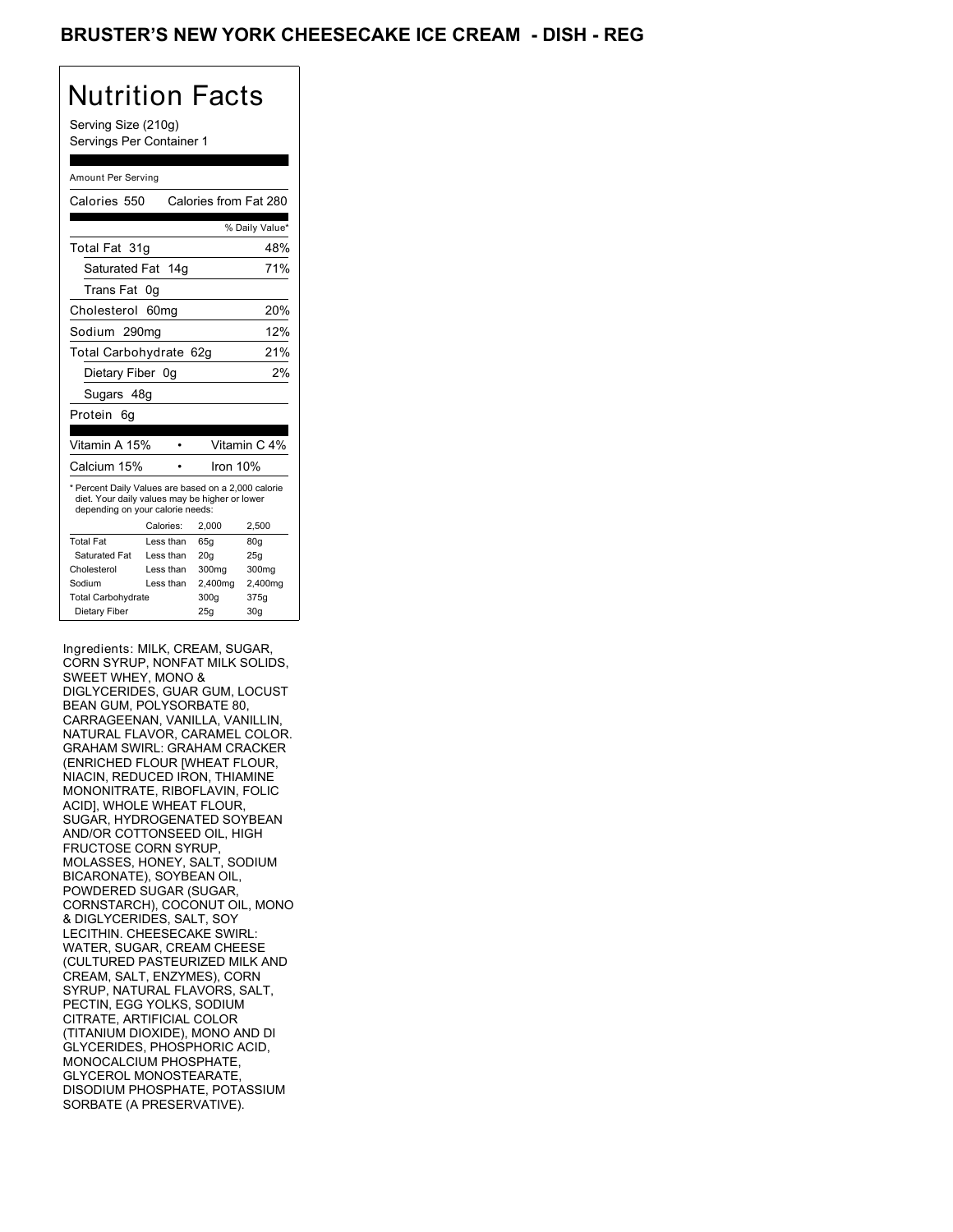### BRUSTER'S NEW YORK CHEESECAKE ICE CREAM - DISH - REG

# Nutrition Facts

Serving Size (210g) Servings Per Container 1

#### Amount Per Serving

| Calories 550                                                                                                                              |           | Calories from Fat 280 |                 |
|-------------------------------------------------------------------------------------------------------------------------------------------|-----------|-----------------------|-----------------|
|                                                                                                                                           |           |                       | % Daily Value*  |
| Total Fat 31q                                                                                                                             |           |                       | 48%             |
| Saturated Fat 14g                                                                                                                         |           |                       | 71%             |
| Trans Fat                                                                                                                                 | 0g        |                       |                 |
| Cholesterol 60mg                                                                                                                          |           |                       | 20%             |
| Sodium 290mg                                                                                                                              |           |                       | 12%             |
| Total Carbohydrate 62g                                                                                                                    |           |                       | 21%             |
| Dietary Fiber 0g                                                                                                                          |           |                       | 2%              |
| Sugars 48g                                                                                                                                |           |                       |                 |
| Protein<br>6g                                                                                                                             |           |                       |                 |
|                                                                                                                                           |           |                       |                 |
| Vitamin A 15%                                                                                                                             |           |                       | Vitamin C 4%    |
| Calcium 15%                                                                                                                               |           | Iron $10%$            |                 |
| * Percent Daily Values are based on a 2,000 calorie<br>diet. Your daily values may be higher or lower<br>depending on your calorie needs: |           |                       |                 |
|                                                                                                                                           | Calories: | 2,000                 | 2,500           |
| <b>Total Fat</b>                                                                                                                          | Less than | 65q                   | 80q             |
| Saturated Fat                                                                                                                             | Less than | 20 <sub>g</sub>       | 25g             |
| Cholesterol                                                                                                                               | Less than | 300mg                 | 300mg           |
| Sodium                                                                                                                                    | Less than | 2,400mg               | 2,400mg         |
| <b>Total Carbohydrate</b>                                                                                                                 |           | 300q                  | 375g            |
| Dietary Fiber                                                                                                                             |           | 25q                   | 30 <sub>g</sub> |

Ingredients: MILK, CREAM, SUGAR, CORN SYRUP, NONFAT MILK SOLIDS, SWEET WHEY, MONO & DIGLYCERIDES, GUAR GUM, LOCUST BEAN GUM, POLYSORBATE 80, CARRAGEENAN, VANILLA, VANILLIN, NATURAL FLAVOR, CARAMEL COLOR. GRAHAM SWIRL: GRAHAM CRACKER (ENRICHED FLOUR [WHEAT FLOUR, NIACIN, REDUCED IRON, THIAMINE MONONITRATE, RIBOFLAVIN, FOLIC ACID], WHOLE WHEAT FLOUR, SUGAR, HYDROGENATED SOYBEAN AND/OR COTTONSEED OIL, HIGH FRUCTOSE CORN SYRUP, MOLASSES, HONEY, SALT, SODIUM BICARONATE), SOYBEAN OIL, POWDERED SUGAR (SUGAR, CORNSTARCH), COCONUT OIL, MONO & DIGLYCERIDES, SALT, SOY LECITHIN. CHEESECAKE SWIRL: WATER, SUGAR, CREAM CHEESE (CULTURED PASTEURIZED MILK AND CREAM, SALT, ENZYMES), CORN SYRUP, NATURAL FLAVORS, SALT, PECTIN, EGG YOLKS, SODIUM CITRATE, ARTIFICIAL COLOR (TITANIUM DIOXIDE), MONO AND DI GLYCERIDES, PHOSPHORIC ACID, MONOCALCIUM PHOSPHATE, GLYCEROL MONOSTEARATE, DISODIUM PHOSPHATE, POTASSIUM SORBATE (A PRESERVATIVE).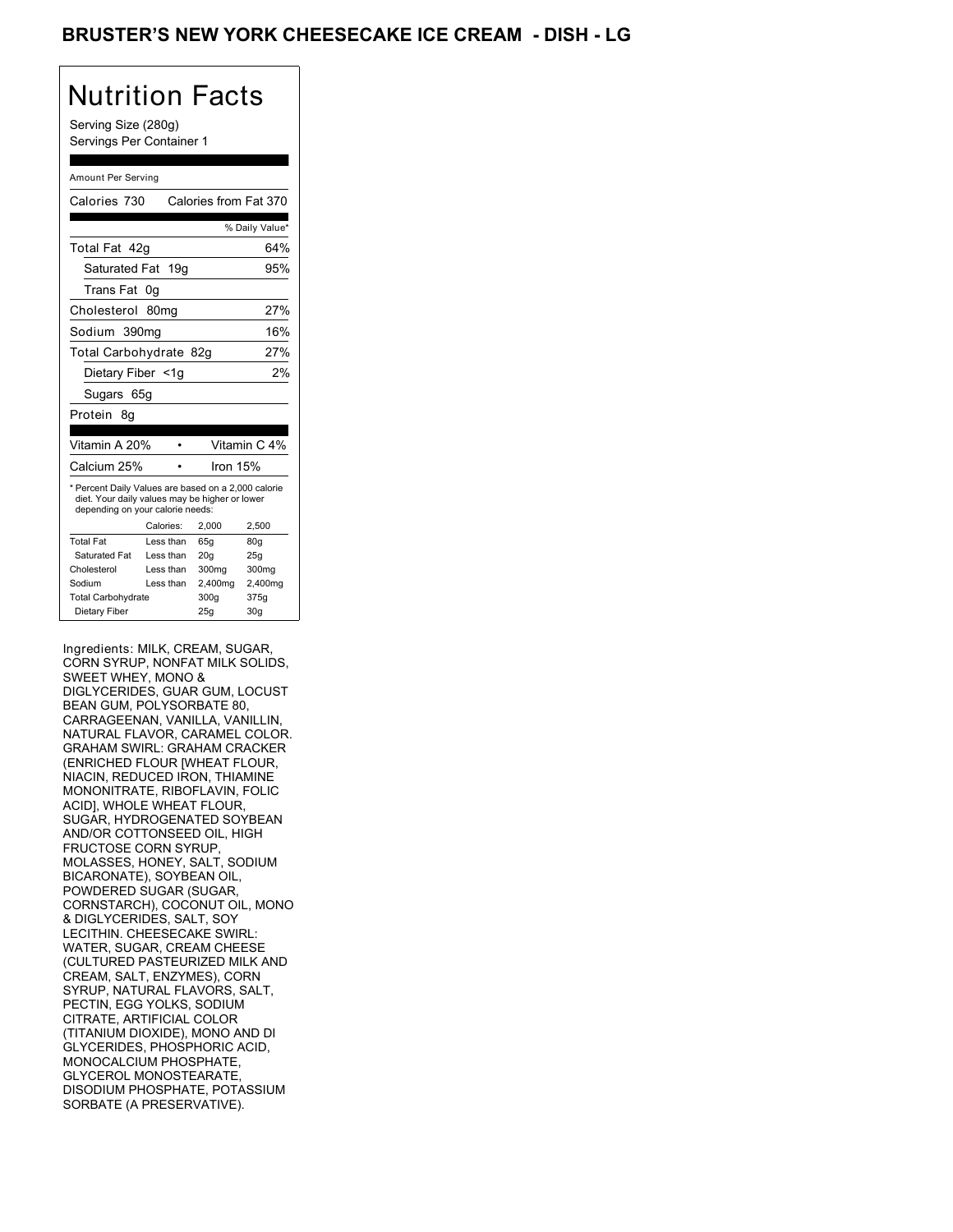### BRUSTER'S NEW YORK CHEESECAKE ICE CREAM - DISH - LG

## Nutrition Facts

Serving Size (280g) Servings Per Container 1

#### Amount Per Serving

| Calories 730                                                                                                                              |    |           |                 | Calories from Fat 370 |
|-------------------------------------------------------------------------------------------------------------------------------------------|----|-----------|-----------------|-----------------------|
|                                                                                                                                           |    |           |                 | % Daily Value*        |
| Total Fat 42q                                                                                                                             |    |           |                 | 64%                   |
| Saturated Fat 19g                                                                                                                         |    |           |                 | 95%                   |
| Trans Fat                                                                                                                                 | 0g |           |                 |                       |
| Cholesterol 80mg                                                                                                                          |    |           |                 | 27%                   |
| Sodium 390mg                                                                                                                              |    |           |                 | 16%                   |
| Total Carbohydrate 82g                                                                                                                    |    |           |                 | 27%                   |
| Dietary Fiber <1g                                                                                                                         |    |           |                 | 2%                    |
| Sugars 65g                                                                                                                                |    |           |                 |                       |
| Protein<br>8g                                                                                                                             |    |           |                 |                       |
|                                                                                                                                           |    |           |                 |                       |
| Vitamin A 20%                                                                                                                             |    |           |                 | Vitamin C 4%          |
| Calcium 25%                                                                                                                               |    |           | Iron 15%        |                       |
| * Percent Daily Values are based on a 2,000 calorie<br>diet. Your daily values may be higher or lower<br>depending on your calorie needs: |    |           |                 |                       |
|                                                                                                                                           |    | Calories: | 2,000           | 2,500                 |
| <b>Total Fat</b>                                                                                                                          |    | Less than | 65q             | 80q                   |
| Saturated Fat                                                                                                                             |    | Less than | 20 <sub>g</sub> | 25g                   |
| Cholesterol                                                                                                                               |    | Less than | 300mg           | 300mg                 |
| Sodium                                                                                                                                    |    | Less than | 2,400mg         | 2,400mg               |
| <b>Total Carbohydrate</b>                                                                                                                 |    |           | 300g            | 375g                  |
| Dietary Fiber                                                                                                                             |    |           | 25g             | 30 <sub>q</sub>       |

Ingredients: MILK, CREAM, SUGAR, CORN SYRUP, NONFAT MILK SOLIDS, SWEET WHEY, MONO & DIGLYCERIDES, GUAR GUM, LOCUST BEAN GUM, POLYSORBATE 80, CARRAGEENAN, VANILLA, VANILLIN, NATURAL FLAVOR, CARAMEL COLOR. GRAHAM SWIRL: GRAHAM CRACKER (ENRICHED FLOUR [WHEAT FLOUR, NIACIN, REDUCED IRON, THIAMINE MONONITRATE, RIBOFLAVIN, FOLIC ACID], WHOLE WHEAT FLOUR, SUGAR, HYDROGENATED SOYBEAN AND/OR COTTONSEED OIL, HIGH FRUCTOSE CORN SYRUP, MOLASSES, HONEY, SALT, SODIUM BICARONATE), SOYBEAN OIL, POWDERED SUGAR (SUGAR, CORNSTARCH), COCONUT OIL, MONO & DIGLYCERIDES, SALT, SOY LECITHIN. CHEESECAKE SWIRL: WATER, SUGAR, CREAM CHEESE (CULTURED PASTEURIZED MILK AND CREAM, SALT, ENZYMES), CORN SYRUP, NATURAL FLAVORS, SALT, PECTIN, EGG YOLKS, SODIUM CITRATE, ARTIFICIAL COLOR (TITANIUM DIOXIDE), MONO AND DI GLYCERIDES, PHOSPHORIC ACID, MONOCALCIUM PHOSPHATE, GLYCEROL MONOSTEARATE, DISODIUM PHOSPHATE, POTASSIUM SORBATE (A PRESERVATIVE).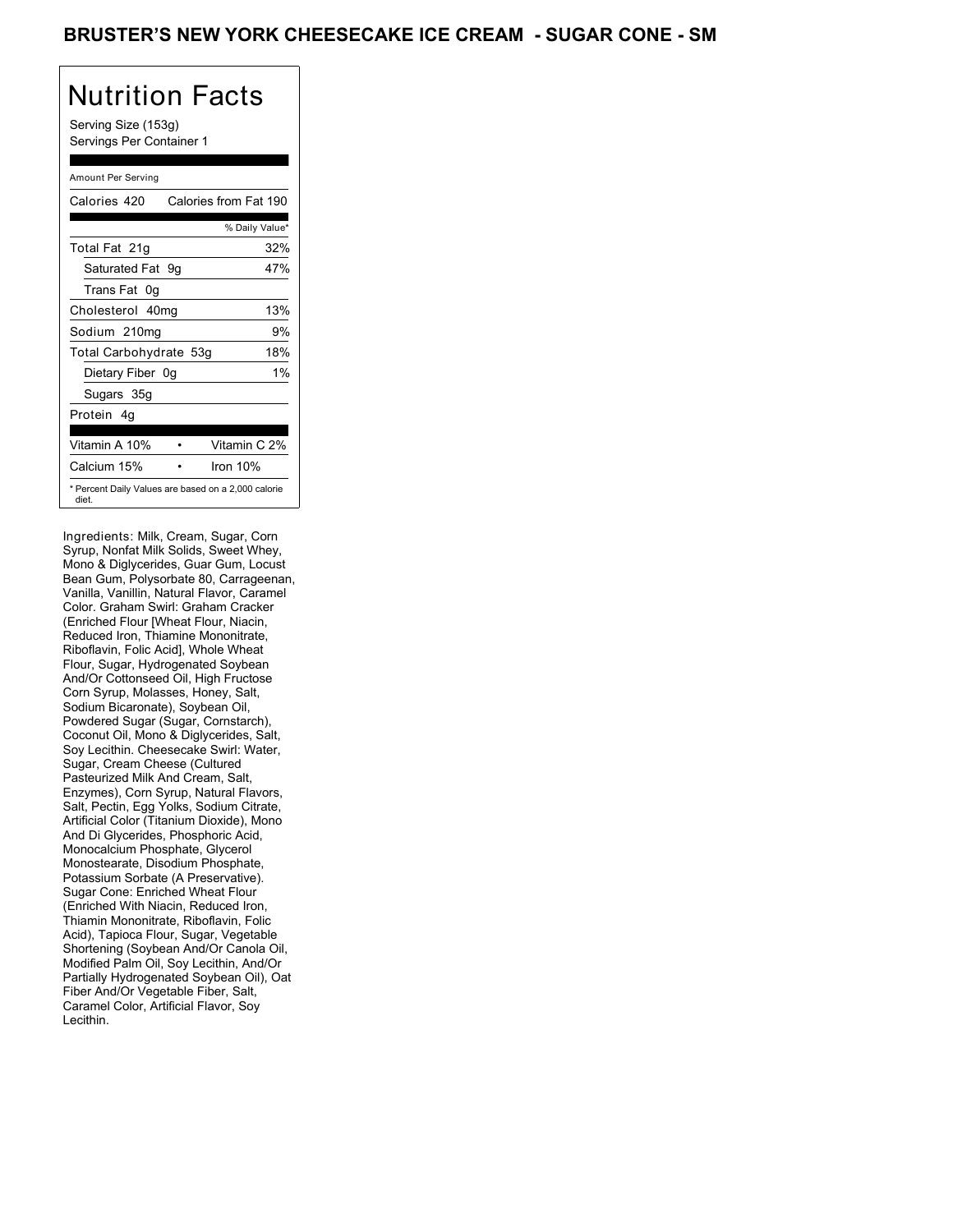Serving Size (153g) Servings Per Container 1

### Amount Per Serving

| Calories 420           | Calories from Fat 190                               |
|------------------------|-----------------------------------------------------|
|                        | % Daily Value*                                      |
| Total Fat 21g          | 32%                                                 |
| Saturated Fat 9g       | 47%                                                 |
| Trans Fat 0g           |                                                     |
| Cholesterol 40mg       | 13%                                                 |
| Sodium 210mg           | 9%                                                  |
| Total Carbohydrate 53g | 18%                                                 |
| Dietary Fiber 0g       | 1%                                                  |
| Sugars 35g             |                                                     |
| Protein 4q             |                                                     |
|                        |                                                     |
| Vitamin A 10%          | Vitamin C 2%                                        |
| Calcium 15%            | Iron 10%                                            |
| diet.                  | * Percent Daily Values are based on a 2,000 calorie |

Ingredients: Milk, Cream, Sugar, Corn Syrup, Nonfat Milk Solids, Sweet Whey, Mono & Diglycerides, Guar Gum, Locust Bean Gum, Polysorbate 80, Carrageenan, Vanilla, Vanillin, Natural Flavor, Caramel Color. Graham Swirl: Graham Cracker (Enriched Flour [Wheat Flour, Niacin, Reduced Iron, Thiamine Mononitrate, Riboflavin, Folic Acid], Whole Wheat Flour, Sugar, Hydrogenated Soybean And/Or Cottonseed Oil, High Fructose Corn Syrup, Molasses, Honey, Salt, Sodium Bicaronate), Soybean Oil, Powdered Sugar (Sugar, Cornstarch), Coconut Oil, Mono & Diglycerides, Salt, Soy Lecithin. Cheesecake Swirl: Water, Sugar, Cream Cheese (Cultured Pasteurized Milk And Cream, Salt, Enzymes), Corn Syrup, Natural Flavors, Salt, Pectin, Egg Yolks, Sodium Citrate, Artificial Color (Titanium Dioxide), Mono And Di Glycerides, Phosphoric Acid, Monocalcium Phosphate, Glycerol Monostearate, Disodium Phosphate, Potassium Sorbate (A Preservative). Sugar Cone: Enriched Wheat Flour (Enriched With Niacin, Reduced Iron, Thiamin Mononitrate, Riboflavin, Folic Acid), Tapioca Flour, Sugar, Vegetable Shortening (Soybean And/Or Canola Oil, Modified Palm Oil, Soy Lecithin, And/Or Partially Hydrogenated Soybean Oil), Oat Fiber And/Or Vegetable Fiber, Salt, Caramel Color, Artificial Flavor, Soy Lecithin.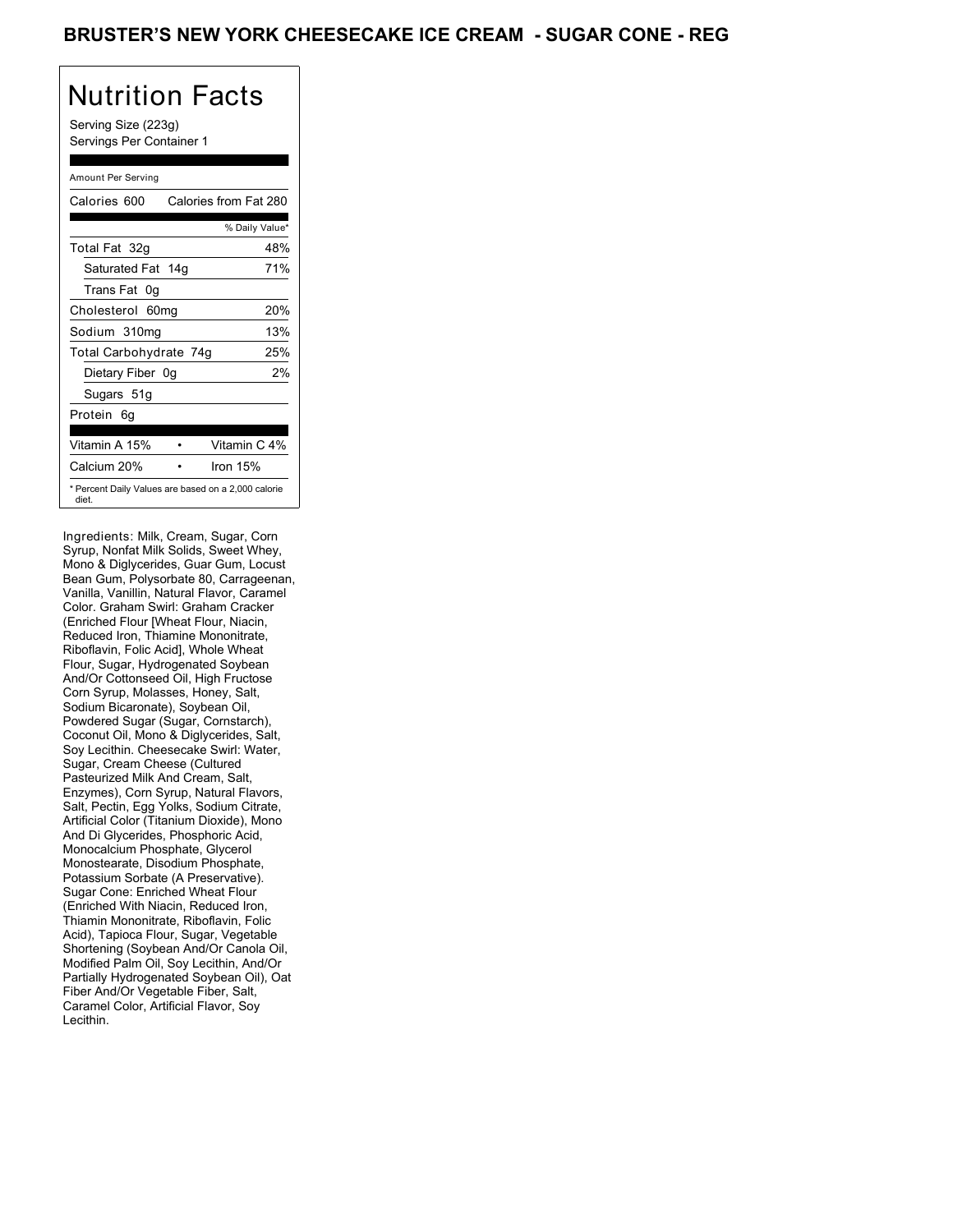Serving Size (223g) Servings Per Container 1

### Amount Per Serving

| Calories 600           | Calories from Fat 280                               |
|------------------------|-----------------------------------------------------|
|                        | % Daily Value*                                      |
| Total Fat 32g          | 48%                                                 |
| Saturated Fat 14g      | 71%                                                 |
| Trans Fat 0q           |                                                     |
| Cholesterol 60mg       | 20%                                                 |
| Sodium 310mg           | 13%                                                 |
| Total Carbohydrate 74g | 25%                                                 |
| Dietary Fiber 0g       | 2%                                                  |
| Sugars 51g             |                                                     |
| Protein 6q             |                                                     |
|                        |                                                     |
| Vitamin A 15%          | Vitamin C 4%                                        |
| Calcium 20%            | Iron $15%$                                          |
| diet.                  | * Percent Daily Values are based on a 2,000 calorie |

Ingredients: Milk, Cream, Sugar, Corn Syrup, Nonfat Milk Solids, Sweet Whey, Mono & Diglycerides, Guar Gum, Locust Bean Gum, Polysorbate 80, Carrageenan, Vanilla, Vanillin, Natural Flavor, Caramel Color. Graham Swirl: Graham Cracker (Enriched Flour [Wheat Flour, Niacin, Reduced Iron, Thiamine Mononitrate, Riboflavin, Folic Acid], Whole Wheat Flour, Sugar, Hydrogenated Soybean And/Or Cottonseed Oil, High Fructose Corn Syrup, Molasses, Honey, Salt, Sodium Bicaronate), Soybean Oil, Powdered Sugar (Sugar, Cornstarch), Coconut Oil, Mono & Diglycerides, Salt, Soy Lecithin. Cheesecake Swirl: Water, Sugar, Cream Cheese (Cultured Pasteurized Milk And Cream, Salt, Enzymes), Corn Syrup, Natural Flavors, Salt, Pectin, Egg Yolks, Sodium Citrate, Artificial Color (Titanium Dioxide), Mono And Di Glycerides, Phosphoric Acid, Monocalcium Phosphate, Glycerol Monostearate, Disodium Phosphate, Potassium Sorbate (A Preservative). Sugar Cone: Enriched Wheat Flour (Enriched With Niacin, Reduced Iron, Thiamin Mononitrate, Riboflavin, Folic Acid), Tapioca Flour, Sugar, Vegetable Shortening (Soybean And/Or Canola Oil, Modified Palm Oil, Soy Lecithin, And/Or Partially Hydrogenated Soybean Oil), Oat Fiber And/Or Vegetable Fiber, Salt, Caramel Color, Artificial Flavor, Soy Lecithin.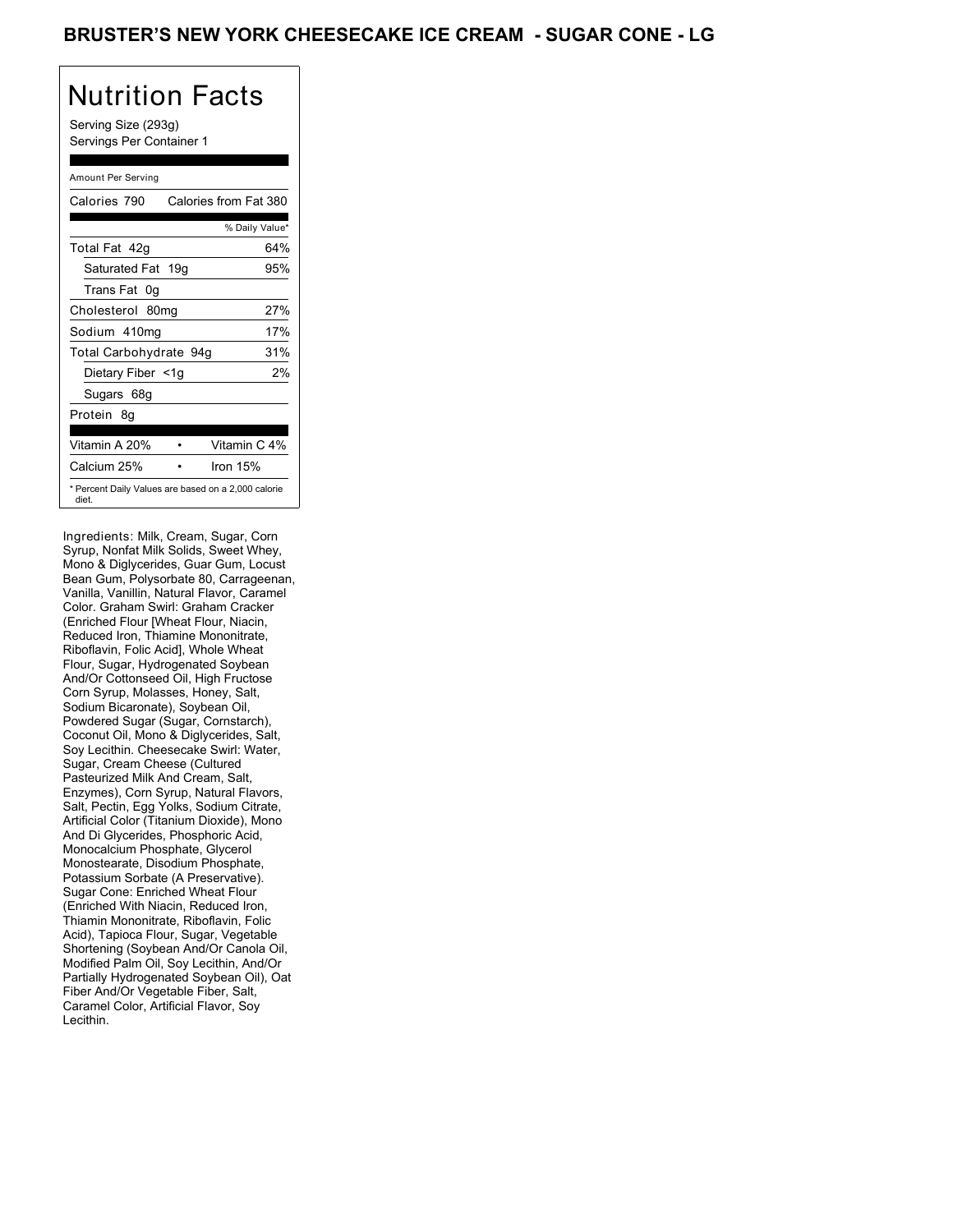Serving Size (293g) Servings Per Container 1

### Amount Per Serving

| Calories 790           | Calories from Fat 380                               |
|------------------------|-----------------------------------------------------|
|                        | % Daily Value*                                      |
| Total Fat 42q          | 64%                                                 |
| Saturated Fat 19g      | 95%                                                 |
| Trans Fat 0q           |                                                     |
| Cholesterol 80mg       | 27%                                                 |
| Sodium 410mg           | 17%                                                 |
| Total Carbohydrate 94g | 31%                                                 |
| Dietary Fiber <1g      | 2%                                                  |
| Sugars 68g             |                                                     |
| Protein 8q             |                                                     |
|                        |                                                     |
| Vitamin A 20%          | Vitamin C 4%                                        |
| Calcium 25%            | Iron $15%$                                          |
| diet.                  | * Percent Daily Values are based on a 2,000 calorie |

Ingredients: Milk, Cream, Sugar, Corn Syrup, Nonfat Milk Solids, Sweet Whey, Mono & Diglycerides, Guar Gum, Locust Bean Gum, Polysorbate 80, Carrageenan, Vanilla, Vanillin, Natural Flavor, Caramel Color. Graham Swirl: Graham Cracker (Enriched Flour [Wheat Flour, Niacin, Reduced Iron, Thiamine Mononitrate, Riboflavin, Folic Acid], Whole Wheat Flour, Sugar, Hydrogenated Soybean And/Or Cottonseed Oil, High Fructose Corn Syrup, Molasses, Honey, Salt, Sodium Bicaronate), Soybean Oil, Powdered Sugar (Sugar, Cornstarch), Coconut Oil, Mono & Diglycerides, Salt, Soy Lecithin. Cheesecake Swirl: Water, Sugar, Cream Cheese (Cultured Pasteurized Milk And Cream, Salt, Enzymes), Corn Syrup, Natural Flavors, Salt, Pectin, Egg Yolks, Sodium Citrate, Artificial Color (Titanium Dioxide), Mono And Di Glycerides, Phosphoric Acid, Monocalcium Phosphate, Glycerol Monostearate, Disodium Phosphate, Potassium Sorbate (A Preservative). Sugar Cone: Enriched Wheat Flour (Enriched With Niacin, Reduced Iron, Thiamin Mononitrate, Riboflavin, Folic Acid), Tapioca Flour, Sugar, Vegetable Shortening (Soybean And/Or Canola Oil, Modified Palm Oil, Soy Lecithin, And/Or Partially Hydrogenated Soybean Oil), Oat Fiber And/Or Vegetable Fiber, Salt, Caramel Color, Artificial Flavor, Soy Lecithin.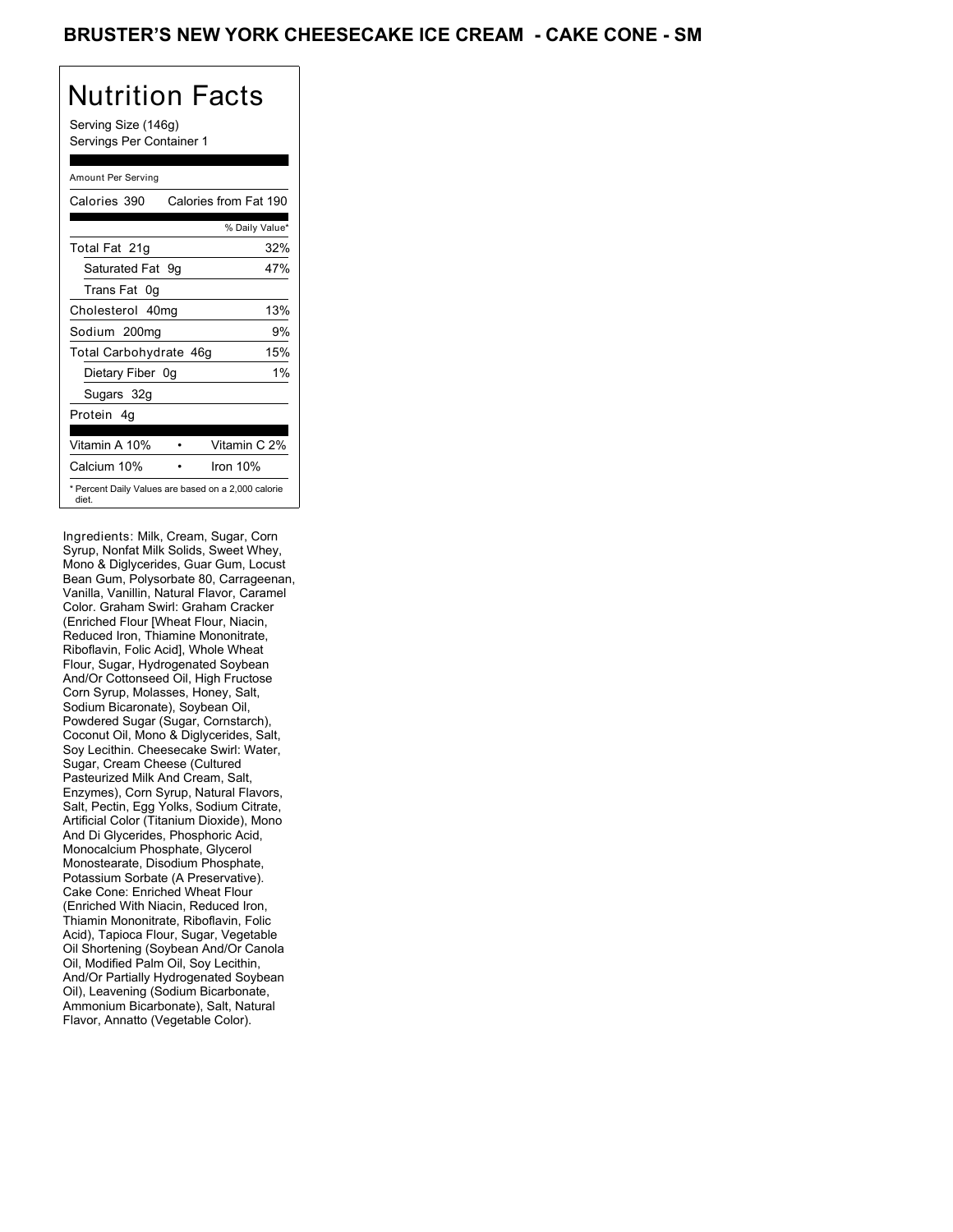Serving Size (146g) Servings Per Container 1

### Amount Per Serving

| Calories 390           | Calories from Fat 190                               |
|------------------------|-----------------------------------------------------|
|                        | % Daily Value*                                      |
| Total Fat 21g          | 32%                                                 |
| Saturated Fat 9g       | 47%                                                 |
| Trans Fat 0g           |                                                     |
| Cholesterol 40mg       | 13%                                                 |
| Sodium 200mg           | 9%                                                  |
| Total Carbohydrate 46g | 15%                                                 |
| Dietary Fiber 0g       | 1%                                                  |
| Sugars 32g             |                                                     |
| Protein 4q             |                                                     |
| Vitamin A 10%          | Vitamin C 2%                                        |
| Calcium 10%            | Iron 10%                                            |
| diet.                  | * Percent Daily Values are based on a 2,000 calorie |

Ingredients: Milk, Cream, Sugar, Corn Syrup, Nonfat Milk Solids, Sweet Whey, Mono & Diglycerides, Guar Gum, Locust Bean Gum, Polysorbate 80, Carrageenan, Vanilla, Vanillin, Natural Flavor, Caramel Color. Graham Swirl: Graham Cracker (Enriched Flour [Wheat Flour, Niacin, Reduced Iron, Thiamine Mononitrate, Riboflavin, Folic Acid], Whole Wheat Flour, Sugar, Hydrogenated Soybean And/Or Cottonseed Oil, High Fructose Corn Syrup, Molasses, Honey, Salt, Sodium Bicaronate), Soybean Oil, Powdered Sugar (Sugar, Cornstarch), Coconut Oil, Mono & Diglycerides, Salt, Soy Lecithin. Cheesecake Swirl: Water, Sugar, Cream Cheese (Cultured Pasteurized Milk And Cream, Salt, Enzymes), Corn Syrup, Natural Flavors, Salt, Pectin, Egg Yolks, Sodium Citrate, Artificial Color (Titanium Dioxide), Mono And Di Glycerides, Phosphoric Acid, Monocalcium Phosphate, Glycerol Monostearate, Disodium Phosphate, Potassium Sorbate (A Preservative). Cake Cone: Enriched Wheat Flour (Enriched With Niacin, Reduced Iron, Thiamin Mononitrate, Riboflavin, Folic Acid), Tapioca Flour, Sugar, Vegetable Oil Shortening (Soybean And/Or Canola Oil, Modified Palm Oil, Soy Lecithin, And/Or Partially Hydrogenated Soybean Oil), Leavening (Sodium Bicarbonate, Ammonium Bicarbonate), Salt, Natural Flavor, Annatto (Vegetable Color).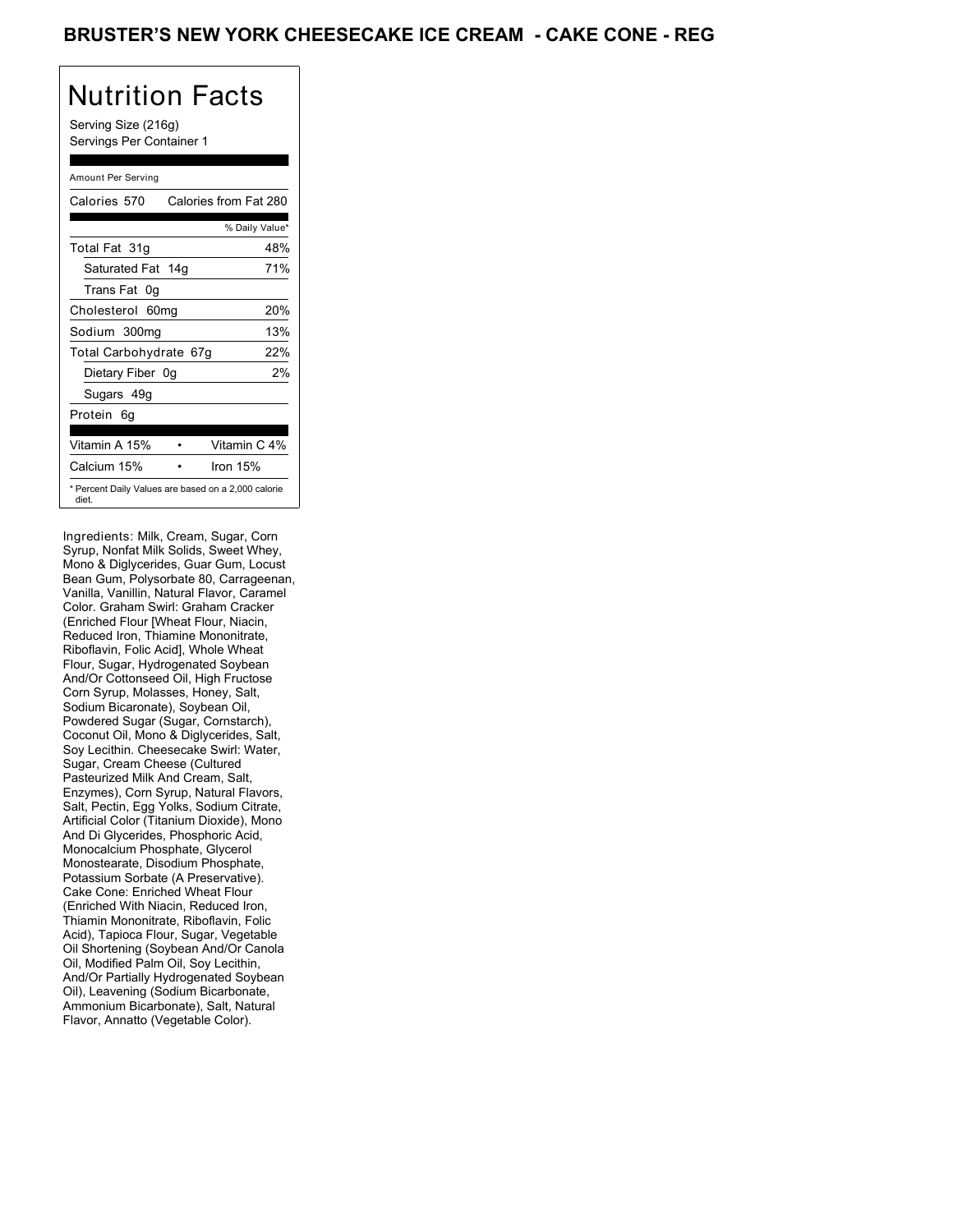Serving Size (216g) Servings Per Container 1

### Amount Per Serving

| Calories 570           | Calories from Fat 280                               |
|------------------------|-----------------------------------------------------|
|                        | % Daily Value*                                      |
| Total Fat 31g          | 48%                                                 |
| Saturated Fat 14g      | 71%                                                 |
| Trans Fat 0g           |                                                     |
| Cholesterol 60mg       | 20%                                                 |
| Sodium 300mg           | 13%                                                 |
| Total Carbohydrate 67g | 22%                                                 |
| Dietary Fiber 0g       | 2%                                                  |
| Sugars 49g             |                                                     |
| Protein 6q             |                                                     |
| Vitamin A 15%          | Vitamin C 4%                                        |
| Calcium 15%            | Iron $15%$                                          |
| diet.                  | * Percent Daily Values are based on a 2,000 calorie |

Ingredients: Milk, Cream, Sugar, Corn Syrup, Nonfat Milk Solids, Sweet Whey, Mono & Diglycerides, Guar Gum, Locust Bean Gum, Polysorbate 80, Carrageenan, Vanilla, Vanillin, Natural Flavor, Caramel Color. Graham Swirl: Graham Cracker (Enriched Flour [Wheat Flour, Niacin, Reduced Iron, Thiamine Mononitrate, Riboflavin, Folic Acid], Whole Wheat Flour, Sugar, Hydrogenated Soybean And/Or Cottonseed Oil, High Fructose Corn Syrup, Molasses, Honey, Salt, Sodium Bicaronate), Soybean Oil, Powdered Sugar (Sugar, Cornstarch), Coconut Oil, Mono & Diglycerides, Salt, Soy Lecithin. Cheesecake Swirl: Water, Sugar, Cream Cheese (Cultured Pasteurized Milk And Cream, Salt, Enzymes), Corn Syrup, Natural Flavors, Salt, Pectin, Egg Yolks, Sodium Citrate, Artificial Color (Titanium Dioxide), Mono And Di Glycerides, Phosphoric Acid, Monocalcium Phosphate, Glycerol Monostearate, Disodium Phosphate, Potassium Sorbate (A Preservative). Cake Cone: Enriched Wheat Flour (Enriched With Niacin, Reduced Iron, Thiamin Mononitrate, Riboflavin, Folic Acid), Tapioca Flour, Sugar, Vegetable Oil Shortening (Soybean And/Or Canola Oil, Modified Palm Oil, Soy Lecithin, And/Or Partially Hydrogenated Soybean Oil), Leavening (Sodium Bicarbonate, Ammonium Bicarbonate), Salt, Natural Flavor, Annatto (Vegetable Color).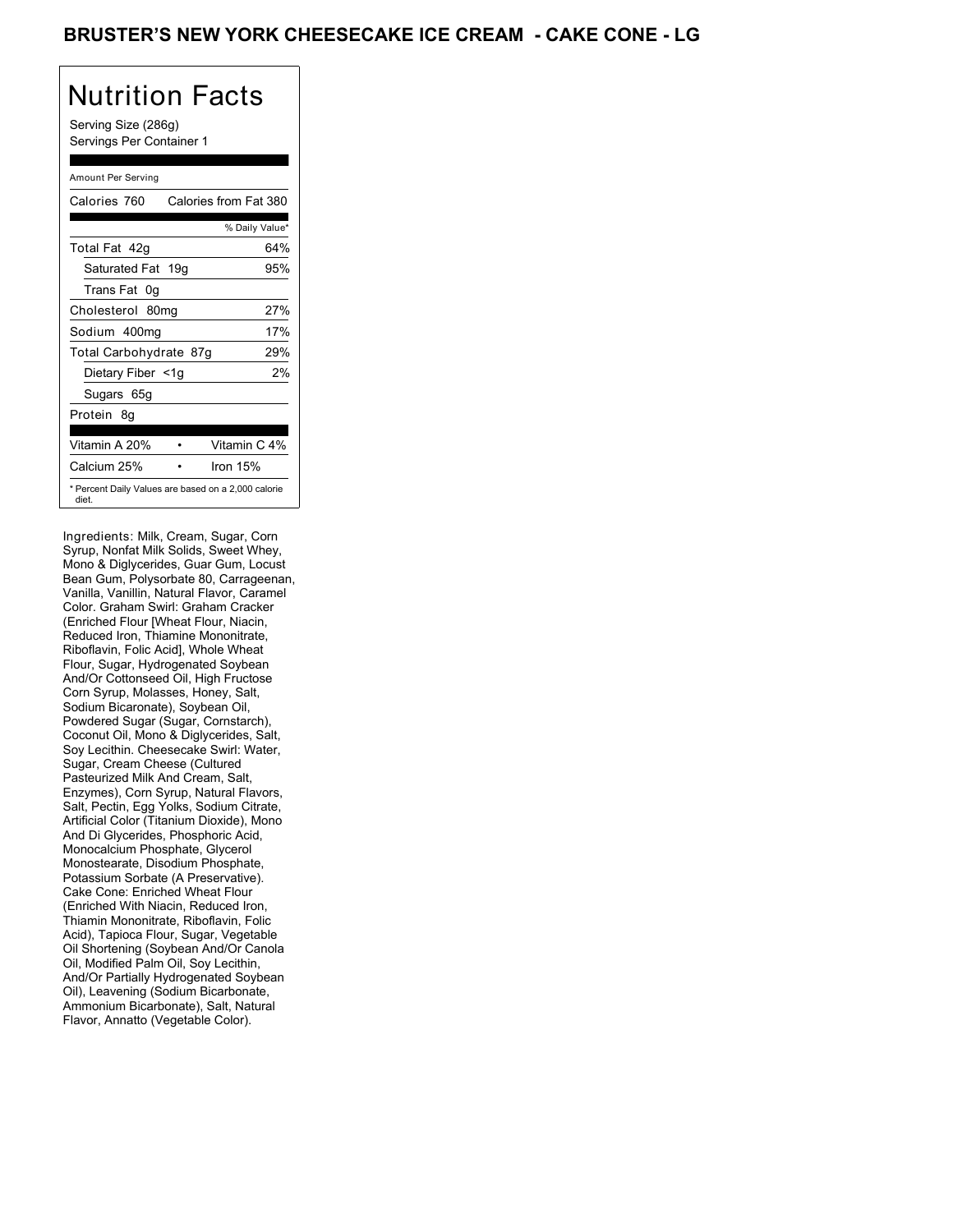Serving Size (286g) Servings Per Container 1

### Amount Per Serving

| Calories 760           | Calories from Fat 380                               |
|------------------------|-----------------------------------------------------|
|                        | % Daily Value*                                      |
| Total Fat 42q          | 64%                                                 |
| Saturated Fat 19g      | 95%                                                 |
| Trans Fat 0q           |                                                     |
| Cholesterol 80mg       | 27%                                                 |
| Sodium 400mg           | 17%                                                 |
| Total Carbohydrate 87g | 29%                                                 |
| Dietary Fiber <1g      | 2%                                                  |
| Sugars 65g             |                                                     |
| Protein 8q             |                                                     |
|                        |                                                     |
| Vitamin A 20%          | Vitamin C 4%                                        |
| Calcium 25%            | Iron $15%$                                          |
| diet.                  | * Percent Daily Values are based on a 2,000 calorie |

Ingredients: Milk, Cream, Sugar, Corn Syrup, Nonfat Milk Solids, Sweet Whey, Mono & Diglycerides, Guar Gum, Locust Bean Gum, Polysorbate 80, Carrageenan, Vanilla, Vanillin, Natural Flavor, Caramel Color. Graham Swirl: Graham Cracker (Enriched Flour [Wheat Flour, Niacin, Reduced Iron, Thiamine Mononitrate, Riboflavin, Folic Acid], Whole Wheat Flour, Sugar, Hydrogenated Soybean And/Or Cottonseed Oil, High Fructose Corn Syrup, Molasses, Honey, Salt, Sodium Bicaronate), Soybean Oil, Powdered Sugar (Sugar, Cornstarch), Coconut Oil, Mono & Diglycerides, Salt, Soy Lecithin. Cheesecake Swirl: Water, Sugar, Cream Cheese (Cultured Pasteurized Milk And Cream, Salt, Enzymes), Corn Syrup, Natural Flavors, Salt, Pectin, Egg Yolks, Sodium Citrate, Artificial Color (Titanium Dioxide), Mono And Di Glycerides, Phosphoric Acid, Monocalcium Phosphate, Glycerol Monostearate, Disodium Phosphate, Potassium Sorbate (A Preservative). Cake Cone: Enriched Wheat Flour (Enriched With Niacin, Reduced Iron, Thiamin Mononitrate, Riboflavin, Folic Acid), Tapioca Flour, Sugar, Vegetable Oil Shortening (Soybean And/Or Canola Oil, Modified Palm Oil, Soy Lecithin, And/Or Partially Hydrogenated Soybean Oil), Leavening (Sodium Bicarbonate, Ammonium Bicarbonate), Salt, Natural Flavor, Annatto (Vegetable Color).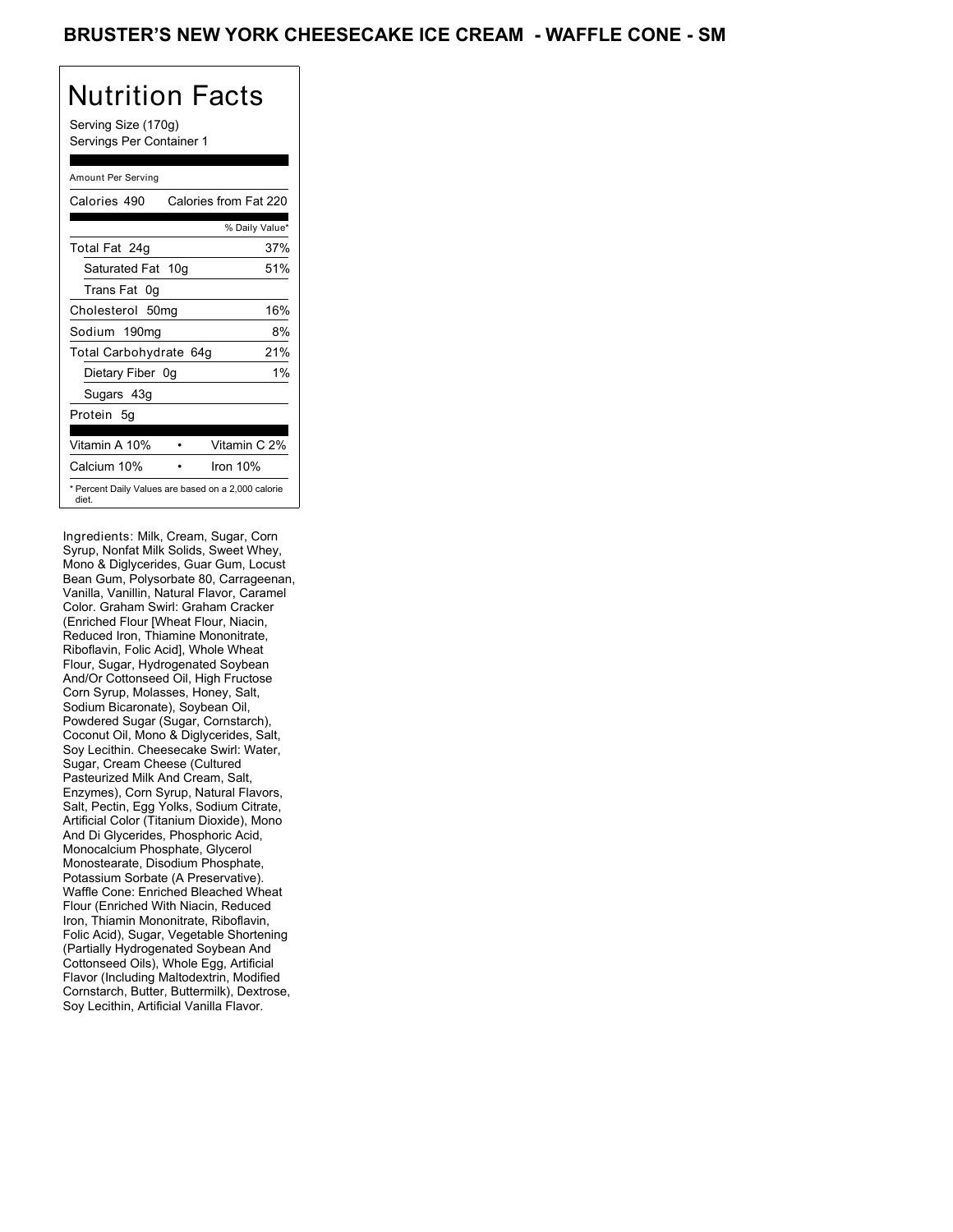Serving Size (170g) Servings Per Container 1

### Amount Per Serving

| Calories 490           | Calories from Fat 220                               |
|------------------------|-----------------------------------------------------|
|                        | % Daily Value*                                      |
| Total Fat 24g          | 37%                                                 |
| Saturated Fat 10g      | 51%                                                 |
| Trans Fat 0q           |                                                     |
| Cholesterol 50mg       | 16%                                                 |
| Sodium 190mg           | 8%                                                  |
| Total Carbohydrate 64g | 21%                                                 |
| Dietary Fiber 0g       | 1%                                                  |
| Sugars 43g             |                                                     |
| Protein 5q             |                                                     |
|                        |                                                     |
| Vitamin A 10%          | Vitamin C 2%                                        |
| Calcium 10%            | Iron 10%                                            |
| diet.                  | * Percent Daily Values are based on a 2,000 calorie |

Ingredients: Milk, Cream, Sugar, Corn Syrup, Nonfat Milk Solids, Sweet Whey, Mono & Diglycerides, Guar Gum, Locust Bean Gum, Polysorbate 80, Carrageenan, Vanilla, Vanillin, Natural Flavor, Caramel Color. Graham Swirl: Graham Cracker (Enriched Flour [Wheat Flour, Niacin, Reduced Iron, Thiamine Mononitrate, Riboflavin, Folic Acid], Whole Wheat Flour, Sugar, Hydrogenated Soybean And/Or Cottonseed Oil, High Fructose Corn Syrup, Molasses, Honey, Salt, Sodium Bicaronate), Soybean Oil, Powdered Sugar (Sugar, Cornstarch), Coconut Oil, Mono & Diglycerides, Salt, Soy Lecithin. Cheesecake Swirl: Water, Sugar, Cream Cheese (Cultured Pasteurized Milk And Cream, Salt, Enzymes), Corn Syrup, Natural Flavors, Salt, Pectin, Egg Yolks, Sodium Citrate, Artificial Color (Titanium Dioxide), Mono And Di Glycerides, Phosphoric Acid, Monocalcium Phosphate, Glycerol Monostearate, Disodium Phosphate, Potassium Sorbate (A Preservative). Waffle Cone: Enriched Bleached Wheat Flour (Enriched With Niacin, Reduced Iron, Thiamin Mononitrate, Riboflavin, Folic Acid), Sugar, Vegetable Shortening (Partially Hydrogenated Soybean And Cottonseed Oils), Whole Egg, Artificial Flavor (Including Maltodextrin, Modified Cornstarch, Butter, Buttermilk), Dextrose, Soy Lecithin, Artificial Vanilla Flavor.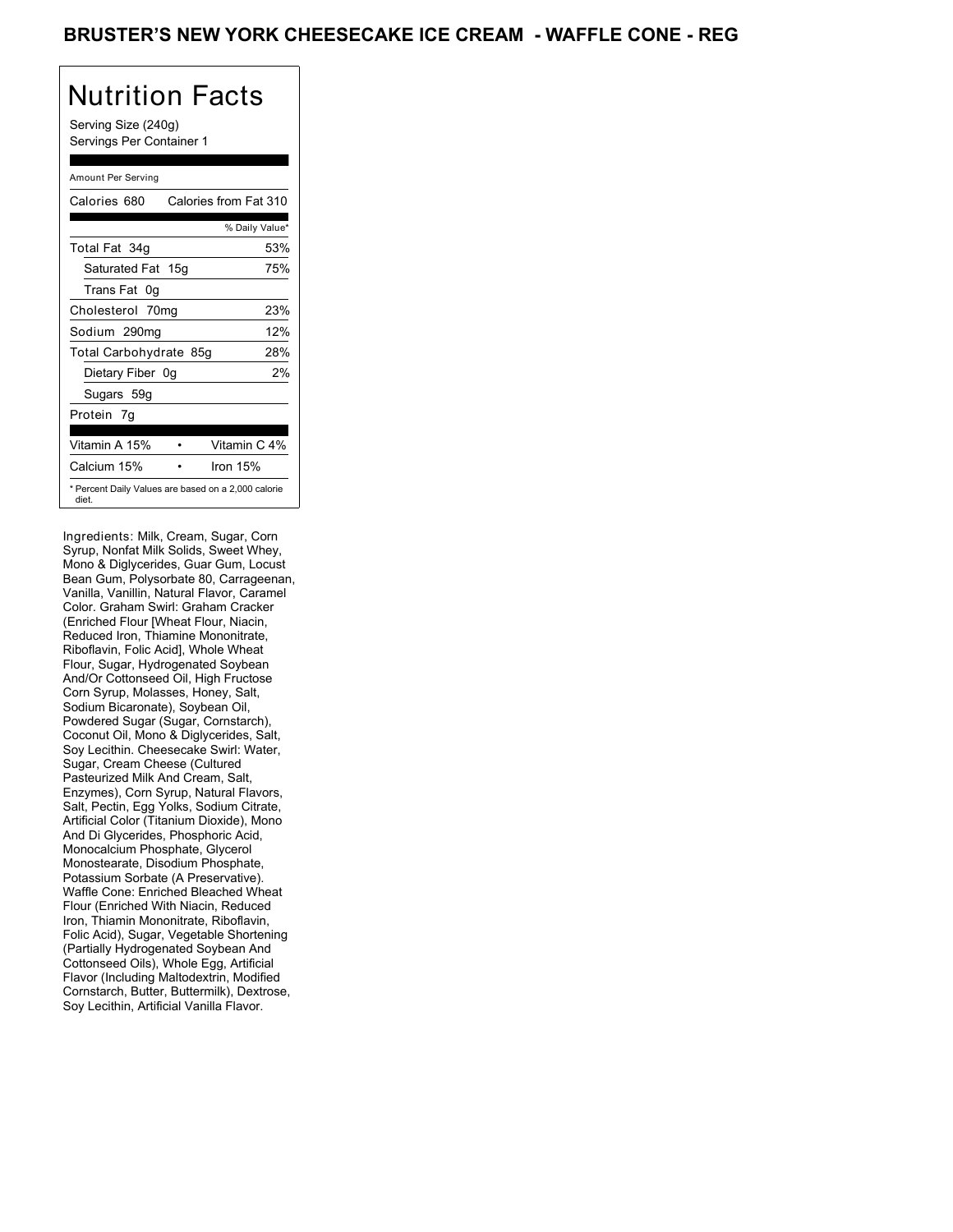Serving Size (240g) Servings Per Container 1

### Amount Per Serving

| Calories 680           | Calories from Fat 310                               |
|------------------------|-----------------------------------------------------|
|                        | % Daily Value*                                      |
| Total Fat 34g          | 53%                                                 |
| Saturated Fat 15g      | 75%                                                 |
| Trans Fat 0g           |                                                     |
| Cholesterol 70mg       | 23%                                                 |
| Sodium 290mg           | 12%                                                 |
| Total Carbohydrate 85g | 28%                                                 |
| Dietary Fiber 0g       | 2%                                                  |
| Sugars 59g             |                                                     |
| Protein 7q             |                                                     |
| Vitamin A 15%          | Vitamin C 4%                                        |
| Calcium 15%            | Iron 15%                                            |
| diet.                  | * Percent Daily Values are based on a 2,000 calorie |

Ingredients: Milk, Cream, Sugar, Corn Syrup, Nonfat Milk Solids, Sweet Whey, Mono & Diglycerides, Guar Gum, Locust Bean Gum, Polysorbate 80, Carrageenan, Vanilla, Vanillin, Natural Flavor, Caramel Color. Graham Swirl: Graham Cracker (Enriched Flour [Wheat Flour, Niacin, Reduced Iron, Thiamine Mononitrate, Riboflavin, Folic Acid], Whole Wheat Flour, Sugar, Hydrogenated Soybean And/Or Cottonseed Oil, High Fructose Corn Syrup, Molasses, Honey, Salt, Sodium Bicaronate), Soybean Oil, Powdered Sugar (Sugar, Cornstarch), Coconut Oil, Mono & Diglycerides, Salt, Soy Lecithin. Cheesecake Swirl: Water, Sugar, Cream Cheese (Cultured Pasteurized Milk And Cream, Salt, Enzymes), Corn Syrup, Natural Flavors, Salt, Pectin, Egg Yolks, Sodium Citrate, Artificial Color (Titanium Dioxide), Mono And Di Glycerides, Phosphoric Acid, Monocalcium Phosphate, Glycerol Monostearate, Disodium Phosphate, Potassium Sorbate (A Preservative). Waffle Cone: Enriched Bleached Wheat Flour (Enriched With Niacin, Reduced Iron, Thiamin Mononitrate, Riboflavin, Folic Acid), Sugar, Vegetable Shortening (Partially Hydrogenated Soybean And Cottonseed Oils), Whole Egg, Artificial Flavor (Including Maltodextrin, Modified Cornstarch, Butter, Buttermilk), Dextrose, Soy Lecithin, Artificial Vanilla Flavor.